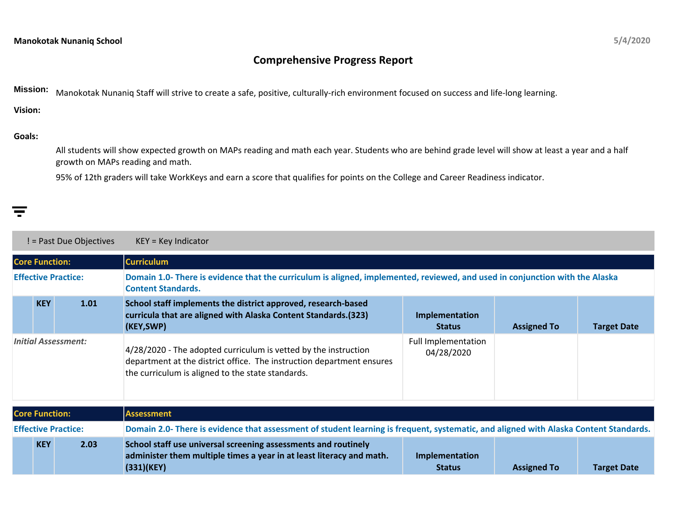## **Comprehensive Progress Report**

**Mission:** Manokotak Nunaniq Staff will strive to create a safe, positive, culturally-rich environment focused on success and life-long learning.

**Vision:**

## **Goals:**

All students will show expected growth on MAPs reading and math each year. Students who are behind grade level will show at least a year and a half growth on MAPs reading and math.

95% of 12th graders will take WorkKeys and earn a score that qualifies for points on the College and Career Readiness indicator.

|                                            | ! = Past Due Objectives<br>$KEY = Key Indicator$ |      |                                                                                                                                                                                               |                                                                                                                                       |                    |                    |  |  |
|--------------------------------------------|--------------------------------------------------|------|-----------------------------------------------------------------------------------------------------------------------------------------------------------------------------------------------|---------------------------------------------------------------------------------------------------------------------------------------|--------------------|--------------------|--|--|
| <b>Curriculum</b><br><b>Core Function:</b> |                                                  |      |                                                                                                                                                                                               |                                                                                                                                       |                    |                    |  |  |
| <b>Effective Practice:</b>                 |                                                  |      | Domain 1.0- There is evidence that the curriculum is aligned, implemented, reviewed, and used in conjunction with the Alaska<br><b>Content Standards.</b>                                     |                                                                                                                                       |                    |                    |  |  |
|                                            | <b>KEY</b>                                       | 1.01 | School staff implements the district approved, research-based<br>curricula that are aligned with Alaska Content Standards.(323)<br>(KEY,SWP)                                                  | Implementation<br><b>Status</b>                                                                                                       | <b>Assigned To</b> | <b>Target Date</b> |  |  |
| <b>Initial Assessment:</b>                 |                                                  |      | 4/28/2020 - The adopted curriculum is vetted by the instruction<br>department at the district office. The instruction department ensures<br>the curriculum is aligned to the state standards. | <b>Full Implementation</b><br>04/28/2020                                                                                              |                    |                    |  |  |
|                                            | <b>Core Function:</b>                            |      | <b>Assessment</b>                                                                                                                                                                             |                                                                                                                                       |                    |                    |  |  |
| <b>Effective Practice:</b>                 |                                                  |      |                                                                                                                                                                                               | Domain 2.0- There is evidence that assessment of student learning is frequent, systematic, and aligned with Alaska Content Standards. |                    |                    |  |  |
|                                            | <b>KEY</b>                                       | 2.03 | School staff use universal screening assessments and routinely<br>administer them multiple times a year in at least literacy and math.<br>(331)(KEY)                                          | Implementation<br><b>Status</b>                                                                                                       | <b>Assigned To</b> | <b>Target Date</b> |  |  |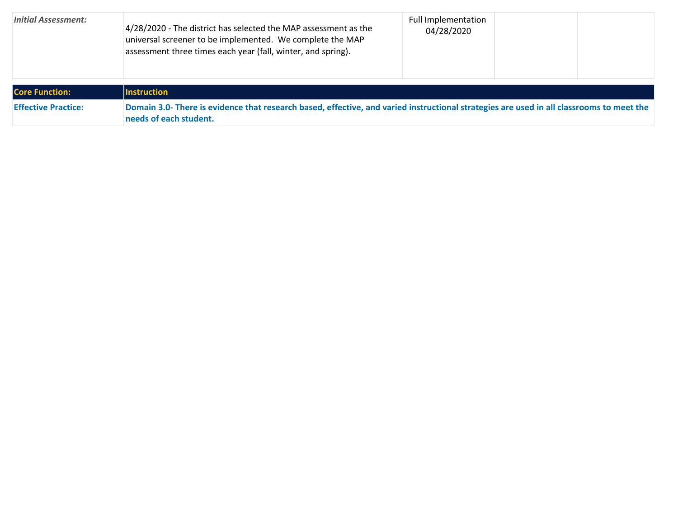| <b>Initial Assessment:</b> | 4/28/2020 - The district has selected the MAP assessment as the<br>universal screener to be implemented. We complete the MAP<br>assessment three times each year (fall, winter, and spring). | <b>Full Implementation</b><br>04/28/2020 |  |
|----------------------------|----------------------------------------------------------------------------------------------------------------------------------------------------------------------------------------------|------------------------------------------|--|
| <b>Core Function:</b>      | <b>Instruction</b>                                                                                                                                                                           |                                          |  |
| <b>Effective Practice:</b> | Domain 3.0- There is evidence that research based, effective, and varied instructional strategies are used in all classrooms to meet the<br>needs of each student.                           |                                          |  |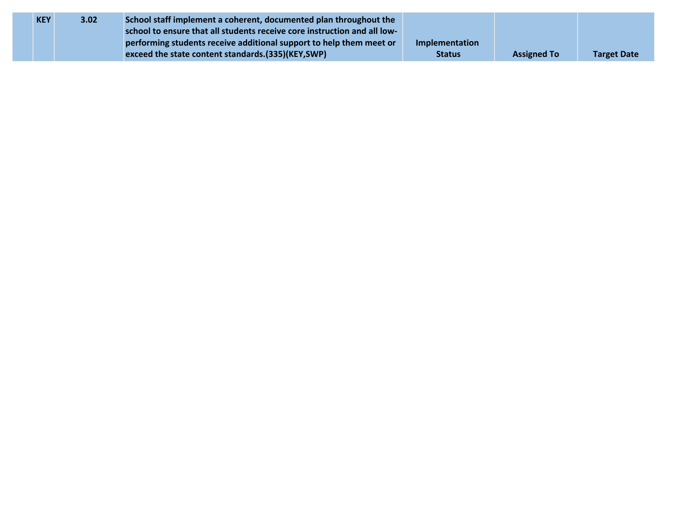| <b>KEY</b> | 3.02 | School staff implement a coherent, documented plan throughout the        |                |                    |                    |
|------------|------|--------------------------------------------------------------------------|----------------|--------------------|--------------------|
|            |      | school to ensure that all students receive core instruction and all low- |                |                    |                    |
|            |      | performing students receive additional support to help them meet or      | Implementation |                    |                    |
|            |      | exceed the state content standards.(335)(KEY,SWP)                        | <b>Status</b>  | <b>Assigned To</b> | <b>Target Date</b> |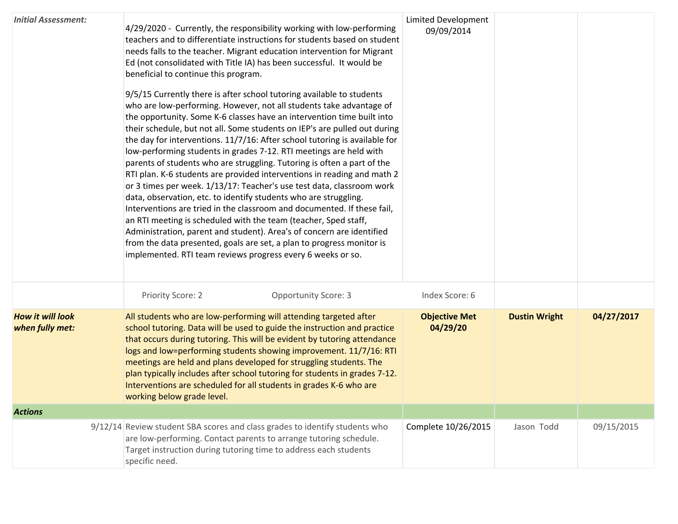| <b>Initial Assessment:</b>                 | 4/29/2020 - Currently, the responsibility working with low-performing<br>teachers and to differentiate instructions for students based on student<br>needs falls to the teacher. Migrant education intervention for Migrant<br>Ed (not consolidated with Title IA) has been successful. It would be<br>beneficial to continue this program.<br>9/5/15 Currently there is after school tutoring available to students<br>who are low-performing. However, not all students take advantage of<br>the opportunity. Some K-6 classes have an intervention time built into<br>their schedule, but not all. Some students on IEP's are pulled out during<br>the day for interventions. 11/7/16: After school tutoring is available for<br>low-performing students in grades 7-12. RTI meetings are held with<br>parents of students who are struggling. Tutoring is often a part of the<br>RTI plan. K-6 students are provided interventions in reading and math 2<br>or 3 times per week. 1/13/17: Teacher's use test data, classroom work<br>data, observation, etc. to identify students who are struggling.<br>Interventions are tried in the classroom and documented. If these fail,<br>an RTI meeting is scheduled with the team (teacher, Sped staff,<br>Administration, parent and student). Area's of concern are identified<br>from the data presented, goals are set, a plan to progress monitor is<br>implemented. RTI team reviews progress every 6 weeks or so. | <b>Limited Development</b><br>09/09/2014 |                      |            |
|--------------------------------------------|--------------------------------------------------------------------------------------------------------------------------------------------------------------------------------------------------------------------------------------------------------------------------------------------------------------------------------------------------------------------------------------------------------------------------------------------------------------------------------------------------------------------------------------------------------------------------------------------------------------------------------------------------------------------------------------------------------------------------------------------------------------------------------------------------------------------------------------------------------------------------------------------------------------------------------------------------------------------------------------------------------------------------------------------------------------------------------------------------------------------------------------------------------------------------------------------------------------------------------------------------------------------------------------------------------------------------------------------------------------------------------------------------------------------------------------------------------------------------|------------------------------------------|----------------------|------------|
|                                            | Priority Score: 2<br><b>Opportunity Score: 3</b>                                                                                                                                                                                                                                                                                                                                                                                                                                                                                                                                                                                                                                                                                                                                                                                                                                                                                                                                                                                                                                                                                                                                                                                                                                                                                                                                                                                                                         | Index Score: 6                           |                      |            |
| <b>How it will look</b><br>when fully met: | All students who are low-performing will attending targeted after<br>school tutoring. Data will be used to guide the instruction and practice<br>that occurs during tutoring. This will be evident by tutoring attendance<br>logs and low=performing students showing improvement. 11/7/16: RTI<br>meetings are held and plans developed for struggling students. The<br>plan typically includes after school tutoring for students in grades 7-12.<br>Interventions are scheduled for all students in grades K-6 who are<br>working below grade level.                                                                                                                                                                                                                                                                                                                                                                                                                                                                                                                                                                                                                                                                                                                                                                                                                                                                                                                  | <b>Objective Met</b><br>04/29/20         | <b>Dustin Wright</b> | 04/27/2017 |
| <b>Actions</b>                             |                                                                                                                                                                                                                                                                                                                                                                                                                                                                                                                                                                                                                                                                                                                                                                                                                                                                                                                                                                                                                                                                                                                                                                                                                                                                                                                                                                                                                                                                          |                                          |                      |            |
|                                            | 9/12/14 Review student SBA scores and class grades to identify students who<br>are low-performing. Contact parents to arrange tutoring schedule.<br>Target instruction during tutoring time to address each students<br>specific need.                                                                                                                                                                                                                                                                                                                                                                                                                                                                                                                                                                                                                                                                                                                                                                                                                                                                                                                                                                                                                                                                                                                                                                                                                                   | Complete 10/26/2015                      | Jason Todd           | 09/15/2015 |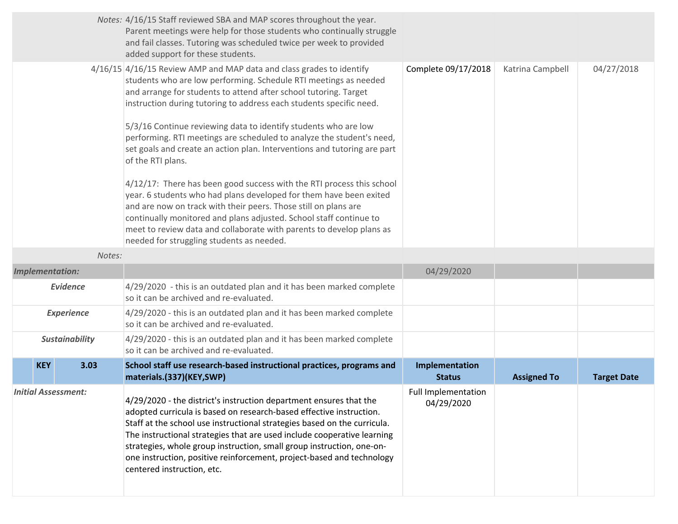|                            |                        |        | Notes: 4/16/15 Staff reviewed SBA and MAP scores throughout the year.<br>Parent meetings were help for those students who continually struggle<br>and fail classes. Tutoring was scheduled twice per week to provided<br>added support for these students.                                                                                                                                                                                                                                                                                                                                                                                                                                                                                                                                                                                                                                                                                    |                                   |                    |                    |
|----------------------------|------------------------|--------|-----------------------------------------------------------------------------------------------------------------------------------------------------------------------------------------------------------------------------------------------------------------------------------------------------------------------------------------------------------------------------------------------------------------------------------------------------------------------------------------------------------------------------------------------------------------------------------------------------------------------------------------------------------------------------------------------------------------------------------------------------------------------------------------------------------------------------------------------------------------------------------------------------------------------------------------------|-----------------------------------|--------------------|--------------------|
|                            |                        |        | 4/16/15 4/16/15 Review AMP and MAP data and class grades to identify<br>students who are low performing. Schedule RTI meetings as needed<br>and arrange for students to attend after school tutoring. Target<br>instruction during tutoring to address each students specific need.<br>5/3/16 Continue reviewing data to identify students who are low<br>performing. RTI meetings are scheduled to analyze the student's need,<br>set goals and create an action plan. Interventions and tutoring are part<br>of the RTI plans.<br>4/12/17: There has been good success with the RTI process this school<br>year. 6 students who had plans developed for them have been exited<br>and are now on track with their peers. Those still on plans are<br>continually monitored and plans adjusted. School staff continue to<br>meet to review data and collaborate with parents to develop plans as<br>needed for struggling students as needed. | Complete 09/17/2018               | Katrina Campbell   | 04/27/2018         |
|                            |                        | Notes: |                                                                                                                                                                                                                                                                                                                                                                                                                                                                                                                                                                                                                                                                                                                                                                                                                                                                                                                                               |                                   |                    |                    |
|                            | <b>Implementation:</b> |        |                                                                                                                                                                                                                                                                                                                                                                                                                                                                                                                                                                                                                                                                                                                                                                                                                                                                                                                                               | 04/29/2020                        |                    |                    |
|                            | <b>Evidence</b>        |        | 4/29/2020 - this is an outdated plan and it has been marked complete<br>so it can be archived and re-evaluated.                                                                                                                                                                                                                                                                                                                                                                                                                                                                                                                                                                                                                                                                                                                                                                                                                               |                                   |                    |                    |
|                            | <b>Experience</b>      |        | 4/29/2020 - this is an outdated plan and it has been marked complete<br>so it can be archived and re-evaluated.                                                                                                                                                                                                                                                                                                                                                                                                                                                                                                                                                                                                                                                                                                                                                                                                                               |                                   |                    |                    |
|                            | <b>Sustainability</b>  |        | 4/29/2020 - this is an outdated plan and it has been marked complete<br>so it can be archived and re-evaluated.                                                                                                                                                                                                                                                                                                                                                                                                                                                                                                                                                                                                                                                                                                                                                                                                                               |                                   |                    |                    |
|                            | <b>KEY</b>             | 3.03   | School staff use research-based instructional practices, programs and<br>materials.(337)(KEY,SWP)                                                                                                                                                                                                                                                                                                                                                                                                                                                                                                                                                                                                                                                                                                                                                                                                                                             | Implementation<br><b>Status</b>   | <b>Assigned To</b> | <b>Target Date</b> |
| <b>Initial Assessment:</b> |                        |        | 4/29/2020 - the district's instruction department ensures that the<br>adopted curricula is based on research-based effective instruction.<br>Staff at the school use instructional strategies based on the curricula.<br>The instructional strategies that are used include cooperative learning<br>strategies, whole group instruction, small group instruction, one-on-<br>one instruction, positive reinforcement, project-based and technology<br>centered instruction, etc.                                                                                                                                                                                                                                                                                                                                                                                                                                                              | Full Implementation<br>04/29/2020 |                    |                    |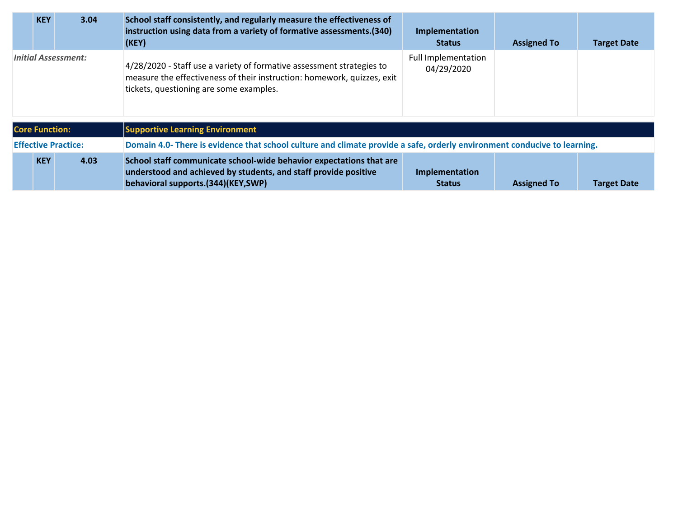|                            | <b>KEY</b>            | 3.04 | School staff consistently, and regularly measure the effectiveness of<br>instruction using data from a variety of formative assessments.(340)<br>(KEY)                                      | Implementation<br><b>Status</b>          | <b>Assigned To</b> | <b>Target Date</b> |
|----------------------------|-----------------------|------|---------------------------------------------------------------------------------------------------------------------------------------------------------------------------------------------|------------------------------------------|--------------------|--------------------|
| <b>Initial Assessment:</b> |                       |      | 4/28/2020 - Staff use a variety of formative assessment strategies to<br>measure the effectiveness of their instruction: homework, quizzes, exit<br>tickets, questioning are some examples. | <b>Full Implementation</b><br>04/29/2020 |                    |                    |
|                            | <b>Core Function:</b> |      | <b>Supportive Learning Environment</b>                                                                                                                                                      |                                          |                    |                    |
| <b>Effective Practice:</b> |                       |      | Domain 4.0- There is evidence that school culture and climate provide a safe, orderly environment conducive to learning.                                                                    |                                          |                    |                    |
|                            | <b>KEY</b>            | 4.03 | School staff communicate school-wide behavior expectations that are<br>understood and achieved by students, and staff provide positive<br>behavioral supports.(344)(KEY,SWP)                | Implementation<br><b>Status</b>          | <b>Assigned To</b> | <b>Target Date</b> |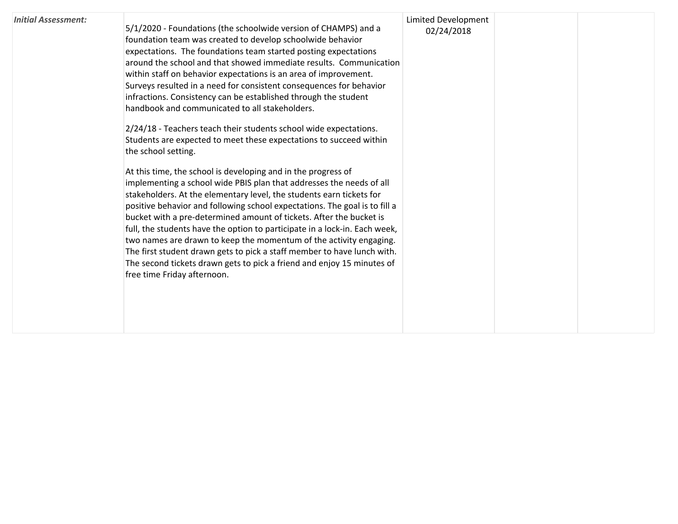| <b>Initial Assessment:</b> | 5/1/2020 - Foundations (the schoolwide version of CHAMPS) and a<br>foundation team was created to develop schoolwide behavior<br>expectations. The foundations team started posting expectations<br>around the school and that showed immediate results. Communication<br>within staff on behavior expectations is an area of improvement.<br>Surveys resulted in a need for consistent consequences for behavior<br>infractions. Consistency can be established through the student<br>handbook and communicated to all stakeholders.<br>2/24/18 - Teachers teach their students school wide expectations.<br>Students are expected to meet these expectations to succeed within<br>the school setting.<br>At this time, the school is developing and in the progress of<br>implementing a school wide PBIS plan that addresses the needs of all<br>stakeholders. At the elementary level, the students earn tickets for<br>positive behavior and following school expectations. The goal is to fill a<br>bucket with a pre-determined amount of tickets. After the bucket is<br>full, the students have the option to participate in a lock-in. Each week,<br>two names are drawn to keep the momentum of the activity engaging.<br>The first student drawn gets to pick a staff member to have lunch with.<br>The second tickets drawn gets to pick a friend and enjoy 15 minutes of<br>free time Friday afternoon. | Limited Development<br>02/24/2018 |  |  |
|----------------------------|------------------------------------------------------------------------------------------------------------------------------------------------------------------------------------------------------------------------------------------------------------------------------------------------------------------------------------------------------------------------------------------------------------------------------------------------------------------------------------------------------------------------------------------------------------------------------------------------------------------------------------------------------------------------------------------------------------------------------------------------------------------------------------------------------------------------------------------------------------------------------------------------------------------------------------------------------------------------------------------------------------------------------------------------------------------------------------------------------------------------------------------------------------------------------------------------------------------------------------------------------------------------------------------------------------------------------------------------------------------------------------------------------------------------|-----------------------------------|--|--|
|----------------------------|------------------------------------------------------------------------------------------------------------------------------------------------------------------------------------------------------------------------------------------------------------------------------------------------------------------------------------------------------------------------------------------------------------------------------------------------------------------------------------------------------------------------------------------------------------------------------------------------------------------------------------------------------------------------------------------------------------------------------------------------------------------------------------------------------------------------------------------------------------------------------------------------------------------------------------------------------------------------------------------------------------------------------------------------------------------------------------------------------------------------------------------------------------------------------------------------------------------------------------------------------------------------------------------------------------------------------------------------------------------------------------------------------------------------|-----------------------------------|--|--|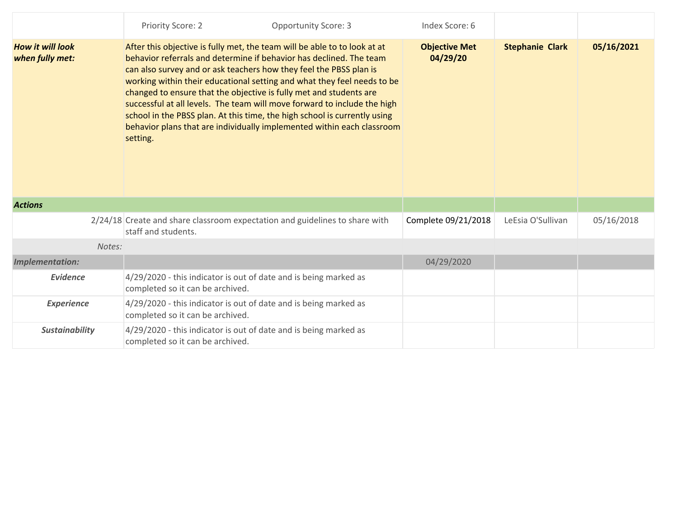|                                            | Priority Score: 2                                                                                                                                                                                                                                                                                                                                                                                                                                                                                                                                                                                                      | <b>Opportunity Score: 3</b> | Index Score: 6                   |                        |            |
|--------------------------------------------|------------------------------------------------------------------------------------------------------------------------------------------------------------------------------------------------------------------------------------------------------------------------------------------------------------------------------------------------------------------------------------------------------------------------------------------------------------------------------------------------------------------------------------------------------------------------------------------------------------------------|-----------------------------|----------------------------------|------------------------|------------|
| <b>How it will look</b><br>when fully met: | After this objective is fully met, the team will be able to to look at at<br>behavior referrals and determine if behavior has declined. The team<br>can also survey and or ask teachers how they feel the PBSS plan is<br>working within their educational setting and what they feel needs to be<br>changed to ensure that the objective is fully met and students are<br>successful at all levels. The team will move forward to include the high<br>school in the PBSS plan. At this time, the high school is currently using<br>behavior plans that are individually implemented within each classroom<br>setting. |                             | <b>Objective Met</b><br>04/29/20 | <b>Stephanie Clark</b> | 05/16/2021 |
| <b>Actions</b>                             |                                                                                                                                                                                                                                                                                                                                                                                                                                                                                                                                                                                                                        |                             |                                  |                        |            |
|                                            | 2/24/18 Create and share classroom expectation and guidelines to share with<br>staff and students.                                                                                                                                                                                                                                                                                                                                                                                                                                                                                                                     |                             | Complete 09/21/2018              | LeEsia O'Sullivan      | 05/16/2018 |
| Notes:                                     |                                                                                                                                                                                                                                                                                                                                                                                                                                                                                                                                                                                                                        |                             |                                  |                        |            |
| <b>Implementation:</b>                     |                                                                                                                                                                                                                                                                                                                                                                                                                                                                                                                                                                                                                        |                             | 04/29/2020                       |                        |            |
| <b>Evidence</b>                            | 4/29/2020 - this indicator is out of date and is being marked as<br>completed so it can be archived.                                                                                                                                                                                                                                                                                                                                                                                                                                                                                                                   |                             |                                  |                        |            |
| <b>Experience</b>                          | 4/29/2020 - this indicator is out of date and is being marked as<br>completed so it can be archived.                                                                                                                                                                                                                                                                                                                                                                                                                                                                                                                   |                             |                                  |                        |            |
| <b>Sustainability</b>                      | 4/29/2020 - this indicator is out of date and is being marked as<br>completed so it can be archived.                                                                                                                                                                                                                                                                                                                                                                                                                                                                                                                   |                             |                                  |                        |            |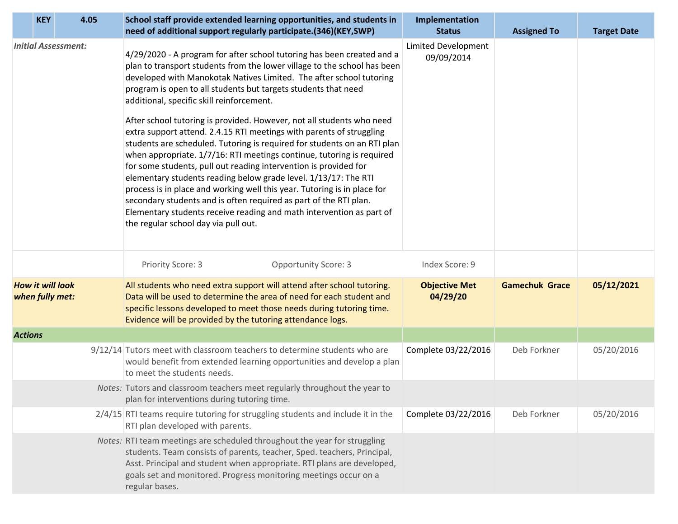| <b>KEY</b>                                 | 4.05 | School staff provide extended learning opportunities, and students in<br>need of additional support regularly participate.(346)(KEY,SWP)                                                                                                                                                                                                                                                                                                                                                                                                                                                                                                                                                                                                                                                                                                                                                                                                                                                                                                               |                             | Implementation<br><b>Status</b>          | <b>Assigned To</b>    | <b>Target Date</b> |
|--------------------------------------------|------|--------------------------------------------------------------------------------------------------------------------------------------------------------------------------------------------------------------------------------------------------------------------------------------------------------------------------------------------------------------------------------------------------------------------------------------------------------------------------------------------------------------------------------------------------------------------------------------------------------------------------------------------------------------------------------------------------------------------------------------------------------------------------------------------------------------------------------------------------------------------------------------------------------------------------------------------------------------------------------------------------------------------------------------------------------|-----------------------------|------------------------------------------|-----------------------|--------------------|
| <b>Initial Assessment:</b>                 |      | 4/29/2020 - A program for after school tutoring has been created and a<br>plan to transport students from the lower village to the school has been<br>developed with Manokotak Natives Limited. The after school tutoring<br>program is open to all students but targets students that need<br>additional, specific skill reinforcement.<br>After school tutoring is provided. However, not all students who need<br>extra support attend. 2.4.15 RTI meetings with parents of struggling<br>students are scheduled. Tutoring is required for students on an RTI plan<br>when appropriate. 1/7/16: RTI meetings continue, tutoring is required<br>for some students, pull out reading intervention is provided for<br>elementary students reading below grade level. 1/13/17: The RTI<br>process is in place and working well this year. Tutoring is in place for<br>secondary students and is often required as part of the RTI plan.<br>Elementary students receive reading and math intervention as part of<br>the regular school day via pull out. |                             | <b>Limited Development</b><br>09/09/2014 |                       |                    |
|                                            |      | Priority Score: 3                                                                                                                                                                                                                                                                                                                                                                                                                                                                                                                                                                                                                                                                                                                                                                                                                                                                                                                                                                                                                                      | <b>Opportunity Score: 3</b> | Index Score: 9                           |                       |                    |
| <b>How it will look</b><br>when fully met: |      | All students who need extra support will attend after school tutoring.<br>Data will be used to determine the area of need for each student and<br>specific lessons developed to meet those needs during tutoring time.<br>Evidence will be provided by the tutoring attendance logs.                                                                                                                                                                                                                                                                                                                                                                                                                                                                                                                                                                                                                                                                                                                                                                   |                             | <b>Objective Met</b><br>04/29/20         | <b>Gamechuk Grace</b> | 05/12/2021         |
| <b>Actions</b>                             |      |                                                                                                                                                                                                                                                                                                                                                                                                                                                                                                                                                                                                                                                                                                                                                                                                                                                                                                                                                                                                                                                        |                             |                                          |                       |                    |
|                                            |      | 9/12/14 Tutors meet with classroom teachers to determine students who are<br>would benefit from extended learning opportunities and develop a plan<br>to meet the students needs.                                                                                                                                                                                                                                                                                                                                                                                                                                                                                                                                                                                                                                                                                                                                                                                                                                                                      |                             | Complete 03/22/2016                      | Deb Forkner           | 05/20/2016         |
|                                            |      | Notes: Tutors and classroom teachers meet regularly throughout the year to<br>plan for interventions during tutoring time.                                                                                                                                                                                                                                                                                                                                                                                                                                                                                                                                                                                                                                                                                                                                                                                                                                                                                                                             |                             |                                          |                       |                    |
|                                            |      | $2/4/15$ RTI teams require tutoring for struggling students and include it in the<br>RTI plan developed with parents.                                                                                                                                                                                                                                                                                                                                                                                                                                                                                                                                                                                                                                                                                                                                                                                                                                                                                                                                  |                             | Complete 03/22/2016                      | Deb Forkner           | 05/20/2016         |
|                                            |      | Notes: RTI team meetings are scheduled throughout the year for struggling<br>students. Team consists of parents, teacher, Sped. teachers, Principal,<br>Asst. Principal and student when appropriate. RTI plans are developed,<br>goals set and monitored. Progress monitoring meetings occur on a<br>regular bases.                                                                                                                                                                                                                                                                                                                                                                                                                                                                                                                                                                                                                                                                                                                                   |                             |                                          |                       |                    |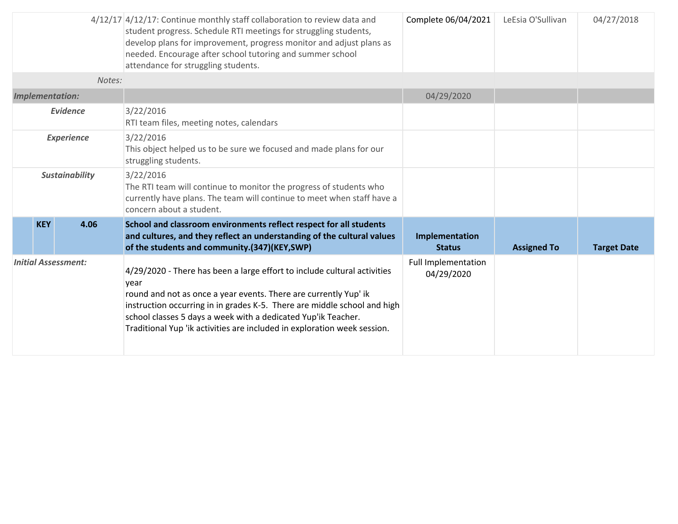|                            |                 | 4/12/17 4/12/17: Continue monthly staff collaboration to review data and<br>student progress. Schedule RTI meetings for struggling students,<br>develop plans for improvement, progress monitor and adjust plans as<br>needed. Encourage after school tutoring and summer school<br>attendance for struggling students.                                                       | Complete 06/04/2021                      | LeEsia O'Sullivan  | 04/27/2018         |
|----------------------------|-----------------|-------------------------------------------------------------------------------------------------------------------------------------------------------------------------------------------------------------------------------------------------------------------------------------------------------------------------------------------------------------------------------|------------------------------------------|--------------------|--------------------|
|                            | Notes:          |                                                                                                                                                                                                                                                                                                                                                                               |                                          |                    |                    |
| <b>Implementation:</b>     |                 |                                                                                                                                                                                                                                                                                                                                                                               | 04/29/2020                               |                    |                    |
|                            | <b>Evidence</b> | 3/22/2016<br>RTI team files, meeting notes, calendars                                                                                                                                                                                                                                                                                                                         |                                          |                    |                    |
| <b>Experience</b>          |                 | 3/22/2016<br>This object helped us to be sure we focused and made plans for our<br>struggling students.                                                                                                                                                                                                                                                                       |                                          |                    |                    |
| <b>Sustainability</b>      |                 | 3/22/2016<br>The RTI team will continue to monitor the progress of students who<br>currently have plans. The team will continue to meet when staff have a<br>concern about a student.                                                                                                                                                                                         |                                          |                    |                    |
| <b>KEY</b>                 | 4.06            | School and classroom environments reflect respect for all students<br>and cultures, and they reflect an understanding of the cultural values<br>of the students and community.(347)(KEY,SWP)                                                                                                                                                                                  | Implementation<br><b>Status</b>          | <b>Assigned To</b> | <b>Target Date</b> |
| <b>Initial Assessment:</b> |                 | 4/29/2020 - There has been a large effort to include cultural activities<br>year<br>round and not as once a year events. There are currently Yup' ik<br>instruction occurring in in grades K-5. There are middle school and high<br>school classes 5 days a week with a dedicated Yup'ik Teacher.<br>Traditional Yup 'ik activities are included in exploration week session. | <b>Full Implementation</b><br>04/29/2020 |                    |                    |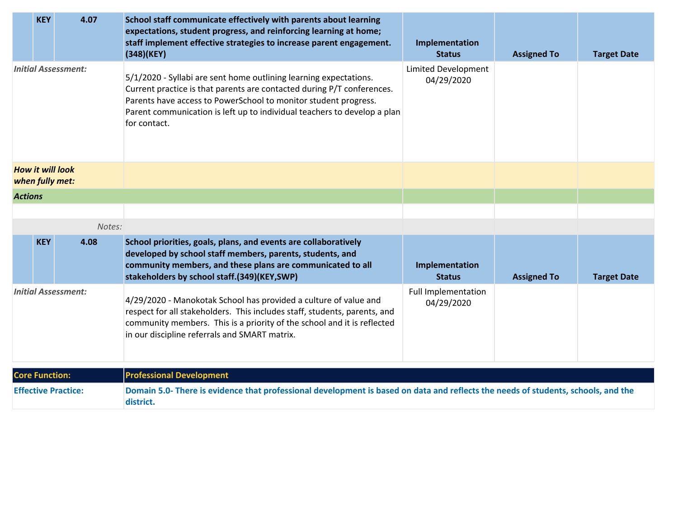|                            | <b>KEY</b>            | 4.07                                       | School staff communicate effectively with parents about learning<br>expectations, student progress, and reinforcing learning at home;<br>staff implement effective strategies to increase parent engagement.<br>$(348)$ (KEY)                                                                              | Implementation<br><b>Status</b>          | <b>Assigned To</b> | <b>Target Date</b> |
|----------------------------|-----------------------|--------------------------------------------|------------------------------------------------------------------------------------------------------------------------------------------------------------------------------------------------------------------------------------------------------------------------------------------------------------|------------------------------------------|--------------------|--------------------|
| <b>Initial Assessment:</b> |                       |                                            | 5/1/2020 - Syllabi are sent home outlining learning expectations.<br>Current practice is that parents are contacted during P/T conferences.<br>Parents have access to PowerSchool to monitor student progress.<br>Parent communication is left up to individual teachers to develop a plan<br>for contact. | <b>Limited Development</b><br>04/29/2020 |                    |                    |
|                            |                       | <b>How it will look</b><br>when fully met: |                                                                                                                                                                                                                                                                                                            |                                          |                    |                    |
| <b>Actions</b>             |                       |                                            |                                                                                                                                                                                                                                                                                                            |                                          |                    |                    |
|                            |                       |                                            |                                                                                                                                                                                                                                                                                                            |                                          |                    |                    |
|                            |                       | Notes:                                     |                                                                                                                                                                                                                                                                                                            |                                          |                    |                    |
|                            | <b>KEY</b>            | 4.08                                       | School priorities, goals, plans, and events are collaboratively<br>developed by school staff members, parents, students, and<br>community members, and these plans are communicated to all<br>stakeholders by school staff.(349)(KEY,SWP)                                                                  | Implementation<br><b>Status</b>          | <b>Assigned To</b> | <b>Target Date</b> |
| <b>Initial Assessment:</b> |                       |                                            | 4/29/2020 - Manokotak School has provided a culture of value and<br>respect for all stakeholders. This includes staff, students, parents, and<br>community members. This is a priority of the school and it is reflected<br>in our discipline referrals and SMART matrix.                                  | Full Implementation<br>04/29/2020        |                    |                    |
|                            | <b>Core Function:</b> |                                            | <b>Professional Development</b>                                                                                                                                                                                                                                                                            |                                          |                    |                    |
|                            |                       | <b>Effective Practice:</b>                 | Domain 5.0- There is evidence that professional development is based on data and reflects the needs of students, schools, and the<br>district.                                                                                                                                                             |                                          |                    |                    |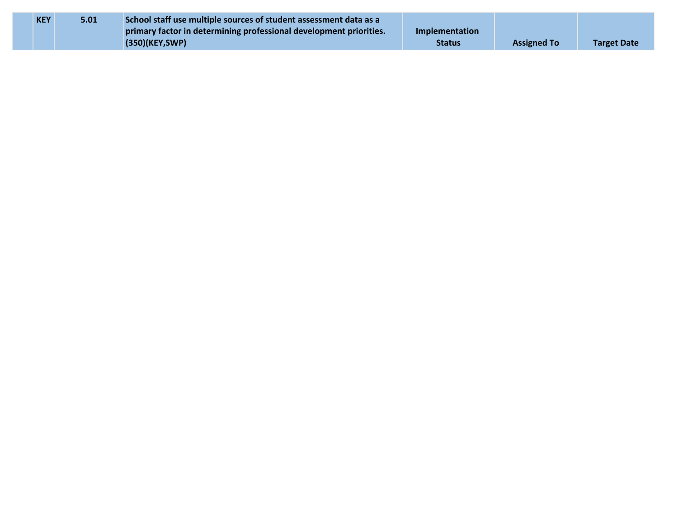| <b>KEY</b> | 5.01 | School staff use multiple sources of student assessment data as a  |                |                    |                    |
|------------|------|--------------------------------------------------------------------|----------------|--------------------|--------------------|
|            |      | primary factor in determining professional development priorities. | Implementation |                    |                    |
|            |      | (350)(KEY, SWP)                                                    | <b>Status</b>  | <b>Assigned To</b> | <b>Target Date</b> |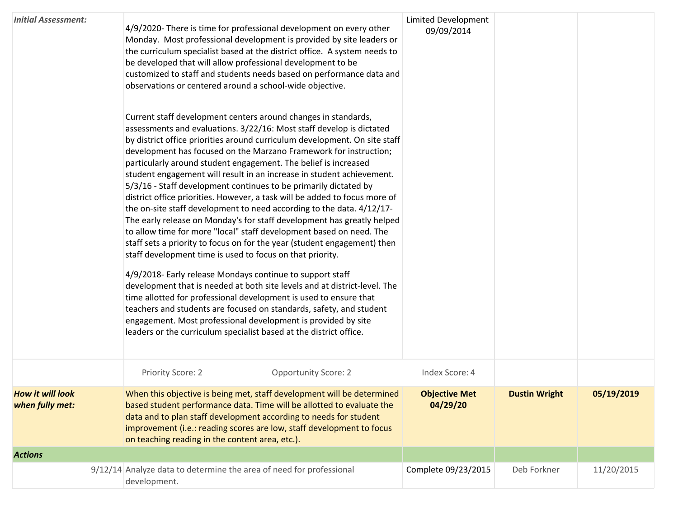| <b>Initial Assessment:</b>                 | 4/9/2020- There is time for professional development on every other<br>Monday. Most professional development is provided by site leaders or<br>the curriculum specialist based at the district office. A system needs to<br>be developed that will allow professional development to be<br>customized to staff and students needs based on performance data and<br>observations or centered around a school-wide objective.<br>Current staff development centers around changes in standards,<br>assessments and evaluations. 3/22/16: Most staff develop is dictated<br>by district office priorities around curriculum development. On site staff<br>development has focused on the Marzano Framework for instruction;<br>particularly around student engagement. The belief is increased<br>student engagement will result in an increase in student achievement.<br>5/3/16 - Staff development continues to be primarily dictated by<br>district office priorities. However, a task will be added to focus more of<br>the on-site staff development to need according to the data. 4/12/17-<br>The early release on Monday's for staff development has greatly helped<br>to allow time for more "local" staff development based on need. The<br>staff sets a priority to focus on for the year (student engagement) then<br>staff development time is used to focus on that priority.<br>4/9/2018- Early release Mondays continue to support staff<br>development that is needed at both site levels and at district-level. The<br>time allotted for professional development is used to ensure that<br>teachers and students are focused on standards, safety, and student<br>engagement. Most professional development is provided by site<br>leaders or the curriculum specialist based at the district office. | <b>Limited Development</b><br>09/09/2014 |                      |            |
|--------------------------------------------|------------------------------------------------------------------------------------------------------------------------------------------------------------------------------------------------------------------------------------------------------------------------------------------------------------------------------------------------------------------------------------------------------------------------------------------------------------------------------------------------------------------------------------------------------------------------------------------------------------------------------------------------------------------------------------------------------------------------------------------------------------------------------------------------------------------------------------------------------------------------------------------------------------------------------------------------------------------------------------------------------------------------------------------------------------------------------------------------------------------------------------------------------------------------------------------------------------------------------------------------------------------------------------------------------------------------------------------------------------------------------------------------------------------------------------------------------------------------------------------------------------------------------------------------------------------------------------------------------------------------------------------------------------------------------------------------------------------------------------------------------------------------------------------------------------------------|------------------------------------------|----------------------|------------|
|                                            | Priority Score: 2<br><b>Opportunity Score: 2</b>                                                                                                                                                                                                                                                                                                                                                                                                                                                                                                                                                                                                                                                                                                                                                                                                                                                                                                                                                                                                                                                                                                                                                                                                                                                                                                                                                                                                                                                                                                                                                                                                                                                                                                                                                                       | Index Score: 4                           |                      |            |
| <b>How it will look</b><br>when fully met: | When this objective is being met, staff development will be determined<br>based student performance data. Time will be allotted to evaluate the<br>data and to plan staff development according to needs for student<br>improvement (i.e.: reading scores are low, staff development to focus<br>on teaching reading in the content area, etc.).                                                                                                                                                                                                                                                                                                                                                                                                                                                                                                                                                                                                                                                                                                                                                                                                                                                                                                                                                                                                                                                                                                                                                                                                                                                                                                                                                                                                                                                                       | <b>Objective Met</b><br>04/29/20         | <b>Dustin Wright</b> | 05/19/2019 |
| <b>Actions</b>                             |                                                                                                                                                                                                                                                                                                                                                                                                                                                                                                                                                                                                                                                                                                                                                                                                                                                                                                                                                                                                                                                                                                                                                                                                                                                                                                                                                                                                                                                                                                                                                                                                                                                                                                                                                                                                                        |                                          |                      |            |
|                                            | 9/12/14 Analyze data to determine the area of need for professional<br>development.                                                                                                                                                                                                                                                                                                                                                                                                                                                                                                                                                                                                                                                                                                                                                                                                                                                                                                                                                                                                                                                                                                                                                                                                                                                                                                                                                                                                                                                                                                                                                                                                                                                                                                                                    | Complete 09/23/2015                      | Deb Forkner          | 11/20/2015 |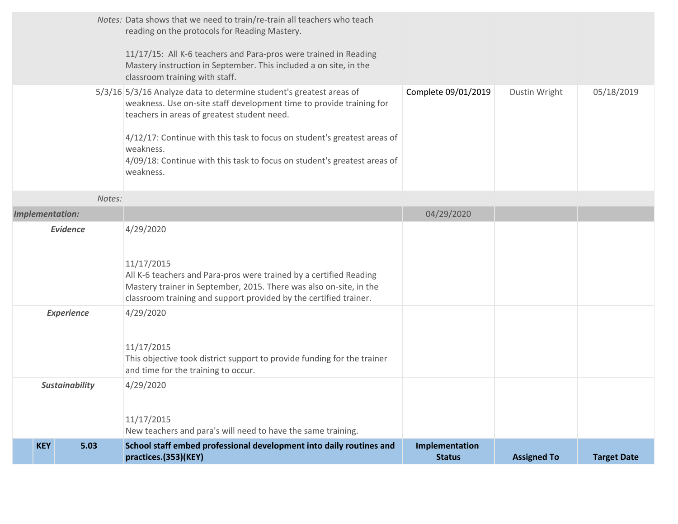|                        |                 | Notes: Data shows that we need to train/re-train all teachers who teach<br>reading on the protocols for Reading Mastery.<br>11/17/15: All K-6 teachers and Para-pros were trained in Reading<br>Mastery instruction in September. This included a on site, in the<br>classroom training with staff.                                                                          |                                 |                    |                    |
|------------------------|-----------------|------------------------------------------------------------------------------------------------------------------------------------------------------------------------------------------------------------------------------------------------------------------------------------------------------------------------------------------------------------------------------|---------------------------------|--------------------|--------------------|
|                        |                 | 5/3/16 5/3/16 Analyze data to determine student's greatest areas of<br>weakness. Use on-site staff development time to provide training for<br>teachers in areas of greatest student need.<br>4/12/17: Continue with this task to focus on student's greatest areas of<br>weakness.<br>4/09/18: Continue with this task to focus on student's greatest areas of<br>weakness. | Complete 09/01/2019             | Dustin Wright      | 05/18/2019         |
| Notes:                 |                 |                                                                                                                                                                                                                                                                                                                                                                              |                                 |                    |                    |
| <b>Implementation:</b> |                 |                                                                                                                                                                                                                                                                                                                                                                              | 04/29/2020                      |                    |                    |
|                        | <b>Evidence</b> | 4/29/2020<br>11/17/2015<br>All K-6 teachers and Para-pros were trained by a certified Reading<br>Mastery trainer in September, 2015. There was also on-site, in the<br>classroom training and support provided by the certified trainer.                                                                                                                                     |                                 |                    |                    |
| <b>Experience</b>      |                 | 4/29/2020<br>11/17/2015<br>This objective took district support to provide funding for the trainer<br>and time for the training to occur.                                                                                                                                                                                                                                    |                                 |                    |                    |
| <b>Sustainability</b>  |                 | 4/29/2020<br>11/17/2015<br>New teachers and para's will need to have the same training.                                                                                                                                                                                                                                                                                      |                                 |                    |                    |
| <b>KEY</b>             | 5.03            | School staff embed professional development into daily routines and<br>practices.(353)(KEY)                                                                                                                                                                                                                                                                                  | Implementation<br><b>Status</b> | <b>Assigned To</b> | <b>Target Date</b> |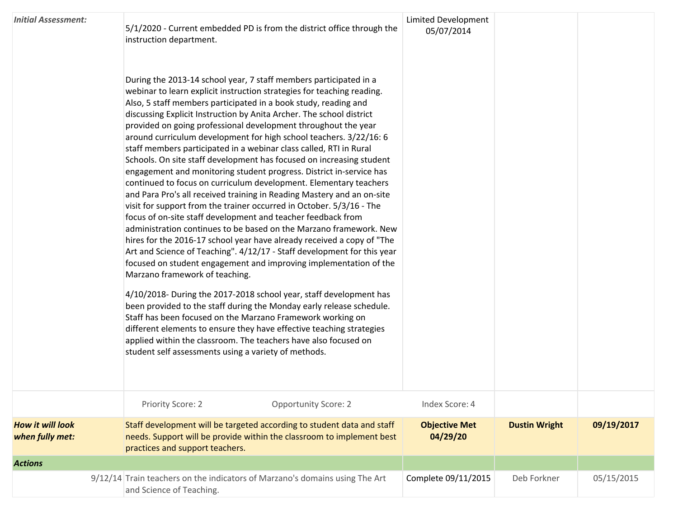| <b>Initial Assessment:</b>                 | 5/1/2020 - Current embedded PD is from the district office through the<br>instruction department.<br>During the 2013-14 school year, 7 staff members participated in a<br>webinar to learn explicit instruction strategies for teaching reading.<br>Also, 5 staff members participated in a book study, reading and<br>discussing Explicit Instruction by Anita Archer. The school district<br>provided on going professional development throughout the year<br>around curriculum development for high school teachers. 3/22/16: 6<br>staff members participated in a webinar class called, RTI in Rural<br>Schools. On site staff development has focused on increasing student<br>engagement and monitoring student progress. District in-service has<br>continued to focus on curriculum development. Elementary teachers<br>and Para Pro's all received training in Reading Mastery and an on-site<br>visit for support from the trainer occurred in October. 5/3/16 - The<br>focus of on-site staff development and teacher feedback from<br>administration continues to be based on the Marzano framework. New<br>hires for the 2016-17 school year have already received a copy of "The<br>Art and Science of Teaching". 4/12/17 - Staff development for this year<br>focused on student engagement and improving implementation of the<br>Marzano framework of teaching.<br>4/10/2018- During the 2017-2018 school year, staff development has<br>been provided to the staff during the Monday early release schedule.<br>Staff has been focused on the Marzano Framework working on<br>different elements to ensure they have effective teaching strategies<br>applied within the classroom. The teachers have also focused on | <b>Limited Development</b><br>05/07/2014 |                      |            |
|--------------------------------------------|------------------------------------------------------------------------------------------------------------------------------------------------------------------------------------------------------------------------------------------------------------------------------------------------------------------------------------------------------------------------------------------------------------------------------------------------------------------------------------------------------------------------------------------------------------------------------------------------------------------------------------------------------------------------------------------------------------------------------------------------------------------------------------------------------------------------------------------------------------------------------------------------------------------------------------------------------------------------------------------------------------------------------------------------------------------------------------------------------------------------------------------------------------------------------------------------------------------------------------------------------------------------------------------------------------------------------------------------------------------------------------------------------------------------------------------------------------------------------------------------------------------------------------------------------------------------------------------------------------------------------------------------------------------------------------------------------------------------------------------|------------------------------------------|----------------------|------------|
|                                            | student self assessments using a variety of methods.                                                                                                                                                                                                                                                                                                                                                                                                                                                                                                                                                                                                                                                                                                                                                                                                                                                                                                                                                                                                                                                                                                                                                                                                                                                                                                                                                                                                                                                                                                                                                                                                                                                                                     |                                          |                      |            |
|                                            | Priority Score: 2<br><b>Opportunity Score: 2</b>                                                                                                                                                                                                                                                                                                                                                                                                                                                                                                                                                                                                                                                                                                                                                                                                                                                                                                                                                                                                                                                                                                                                                                                                                                                                                                                                                                                                                                                                                                                                                                                                                                                                                         | Index Score: 4                           |                      |            |
| <b>How it will look</b><br>when fully met: | Staff development will be targeted according to student data and staff<br>needs. Support will be provide within the classroom to implement best<br>practices and support teachers.                                                                                                                                                                                                                                                                                                                                                                                                                                                                                                                                                                                                                                                                                                                                                                                                                                                                                                                                                                                                                                                                                                                                                                                                                                                                                                                                                                                                                                                                                                                                                       | <b>Objective Met</b><br>04/29/20         | <b>Dustin Wright</b> | 09/19/2017 |
| <b>Actions</b>                             |                                                                                                                                                                                                                                                                                                                                                                                                                                                                                                                                                                                                                                                                                                                                                                                                                                                                                                                                                                                                                                                                                                                                                                                                                                                                                                                                                                                                                                                                                                                                                                                                                                                                                                                                          |                                          |                      |            |
|                                            | 9/12/14 Train teachers on the indicators of Marzano's domains using The Art<br>and Science of Teaching.                                                                                                                                                                                                                                                                                                                                                                                                                                                                                                                                                                                                                                                                                                                                                                                                                                                                                                                                                                                                                                                                                                                                                                                                                                                                                                                                                                                                                                                                                                                                                                                                                                  | Complete 09/11/2015                      | Deb Forkner          | 05/15/2015 |
|                                            |                                                                                                                                                                                                                                                                                                                                                                                                                                                                                                                                                                                                                                                                                                                                                                                                                                                                                                                                                                                                                                                                                                                                                                                                                                                                                                                                                                                                                                                                                                                                                                                                                                                                                                                                          |                                          |                      |            |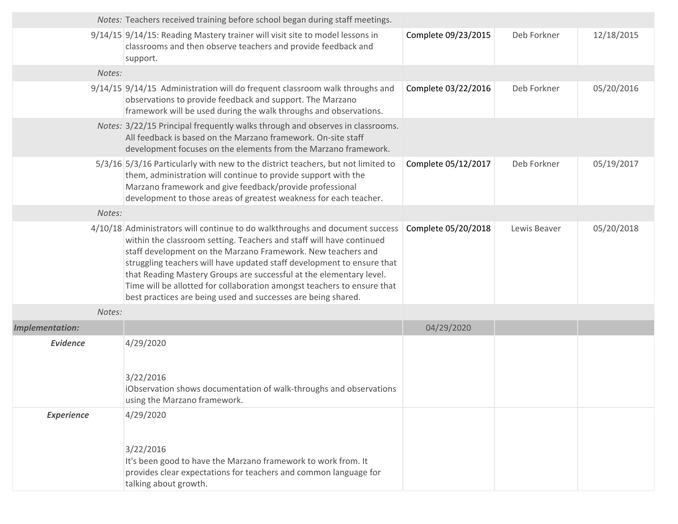|                        | Notes: Teachers received training before school began during staff meetings.                                                                                                                                                                                                                                                                                                                                                                                                                                      |                     |              |            |
|------------------------|-------------------------------------------------------------------------------------------------------------------------------------------------------------------------------------------------------------------------------------------------------------------------------------------------------------------------------------------------------------------------------------------------------------------------------------------------------------------------------------------------------------------|---------------------|--------------|------------|
|                        | 9/14/15 9/14/15: Reading Mastery trainer will visit site to model lessons in<br>classrooms and then observe teachers and provide feedback and<br>support.                                                                                                                                                                                                                                                                                                                                                         | Complete 09/23/2015 | Deb Forkner  | 12/18/2015 |
| Notes:                 |                                                                                                                                                                                                                                                                                                                                                                                                                                                                                                                   |                     |              |            |
|                        | 9/14/15 9/14/15 Administration will do frequent classroom walk throughs and<br>observations to provide feedback and support. The Marzano<br>framework will be used during the walk throughs and observations.                                                                                                                                                                                                                                                                                                     | Complete 03/22/2016 | Deb Forkner  | 05/20/2016 |
|                        | Notes: 3/22/15 Principal frequently walks through and observes in classrooms.<br>All feedback is based on the Marzano framework. On-site staff<br>development focuses on the elements from the Marzano framework.                                                                                                                                                                                                                                                                                                 |                     |              |            |
|                        | 5/3/16 5/3/16 Particularly with new to the district teachers, but not limited to<br>them, administration will continue to provide support with the<br>Marzano framework and give feedback/provide professional<br>development to those areas of greatest weakness for each teacher.                                                                                                                                                                                                                               | Complete 05/12/2017 | Deb Forkner  | 05/19/2017 |
| Notes:                 |                                                                                                                                                                                                                                                                                                                                                                                                                                                                                                                   |                     |              |            |
|                        | 4/10/18 Administrators will continue to do walkthroughs and document success<br>within the classroom setting. Teachers and staff will have continued<br>staff development on the Marzano Framework. New teachers and<br>struggling teachers will have updated staff development to ensure that<br>that Reading Mastery Groups are successful at the elementary level.<br>Time will be allotted for collaboration amongst teachers to ensure that<br>best practices are being used and successes are being shared. | Complete 05/20/2018 | Lewis Beaver | 05/20/2018 |
| Notes:                 |                                                                                                                                                                                                                                                                                                                                                                                                                                                                                                                   |                     |              |            |
| <b>Implementation:</b> |                                                                                                                                                                                                                                                                                                                                                                                                                                                                                                                   | 04/29/2020          |              |            |
| <b>Evidence</b>        | 4/29/2020<br>3/22/2016<br>iObservation shows documentation of walk-throughs and observations<br>using the Marzano framework.                                                                                                                                                                                                                                                                                                                                                                                      |                     |              |            |
| <b>Experience</b>      | 4/29/2020<br>3/22/2016<br>It's been good to have the Marzano framework to work from. It<br>provides clear expectations for teachers and common language for<br>talking about growth.                                                                                                                                                                                                                                                                                                                              |                     |              |            |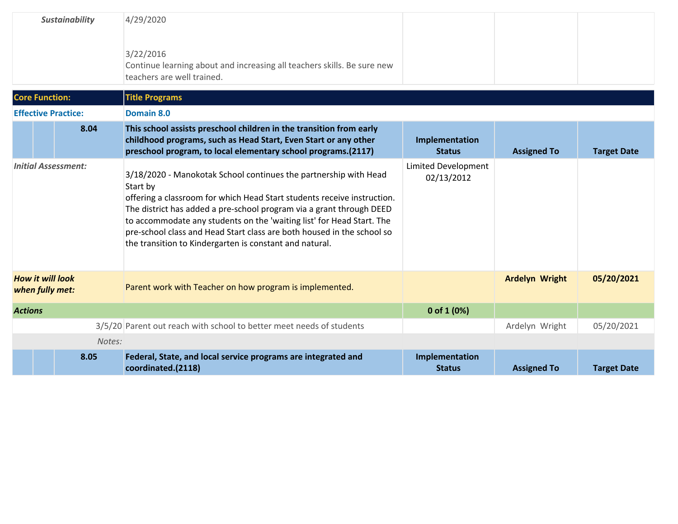| <b>Sustainability</b>                      | 4/29/2020<br>3/22/2016<br>Continue learning about and increasing all teachers skills. Be sure new<br>teachers are well trained.                                                                                                                                                                                                                                                                                                               |                                          |                       |                    |
|--------------------------------------------|-----------------------------------------------------------------------------------------------------------------------------------------------------------------------------------------------------------------------------------------------------------------------------------------------------------------------------------------------------------------------------------------------------------------------------------------------|------------------------------------------|-----------------------|--------------------|
| <b>Core Function:</b>                      | <b>Title Programs</b>                                                                                                                                                                                                                                                                                                                                                                                                                         |                                          |                       |                    |
| <b>Effective Practice:</b>                 | Domain 8.0                                                                                                                                                                                                                                                                                                                                                                                                                                    |                                          |                       |                    |
| 8.04                                       | This school assists preschool children in the transition from early<br>childhood programs, such as Head Start, Even Start or any other<br>preschool program, to local elementary school programs.(2117)                                                                                                                                                                                                                                       | Implementation<br><b>Status</b>          | <b>Assigned To</b>    | <b>Target Date</b> |
| <b>Initial Assessment:</b>                 | 3/18/2020 - Manokotak School continues the partnership with Head<br>Start by<br>offering a classroom for which Head Start students receive instruction.<br>The district has added a pre-school program via a grant through DEED<br>to accommodate any students on the 'waiting list' for Head Start. The<br>pre-school class and Head Start class are both housed in the school so<br>the transition to Kindergarten is constant and natural. | <b>Limited Development</b><br>02/13/2012 |                       |                    |
| <b>How it will look</b><br>when fully met: | Parent work with Teacher on how program is implemented.                                                                                                                                                                                                                                                                                                                                                                                       |                                          | <b>Ardelyn Wright</b> | 05/20/2021         |
| <b>Actions</b>                             |                                                                                                                                                                                                                                                                                                                                                                                                                                               | 0 of $1(0%)$                             |                       |                    |
|                                            | 3/5/20 Parent out reach with school to better meet needs of students                                                                                                                                                                                                                                                                                                                                                                          |                                          | Ardelyn Wright        | 05/20/2021         |
| Notes:                                     |                                                                                                                                                                                                                                                                                                                                                                                                                                               |                                          |                       |                    |
| 8.05                                       | Federal, State, and local service programs are integrated and<br>coordinated.(2118)                                                                                                                                                                                                                                                                                                                                                           | Implementation<br><b>Status</b>          | <b>Assigned To</b>    | <b>Target Date</b> |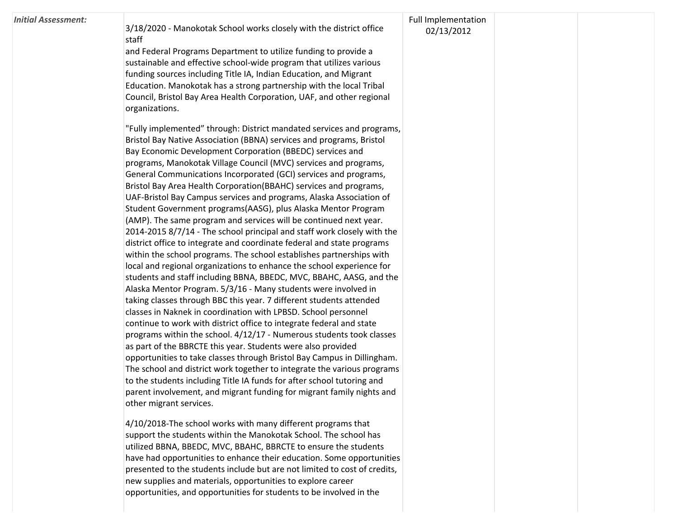| <b>Initial Assessment:</b> | 3/18/2020 - Manokotak School works closely with the district office       | <b>Full Implementation</b><br>02/13/2012 |  |
|----------------------------|---------------------------------------------------------------------------|------------------------------------------|--|
|                            | staff                                                                     |                                          |  |
|                            | and Federal Programs Department to utilize funding to provide a           |                                          |  |
|                            | sustainable and effective school-wide program that utilizes various       |                                          |  |
|                            | funding sources including Title IA, Indian Education, and Migrant         |                                          |  |
|                            | Education. Manokotak has a strong partnership with the local Tribal       |                                          |  |
|                            | Council, Bristol Bay Area Health Corporation, UAF, and other regional     |                                          |  |
|                            | organizations.                                                            |                                          |  |
|                            | "Fully implemented" through: District mandated services and programs,     |                                          |  |
|                            | Bristol Bay Native Association (BBNA) services and programs, Bristol      |                                          |  |
|                            | Bay Economic Development Corporation (BBEDC) services and                 |                                          |  |
|                            | programs, Manokotak Village Council (MVC) services and programs,          |                                          |  |
|                            | General Communications Incorporated (GCI) services and programs,          |                                          |  |
|                            | Bristol Bay Area Health Corporation(BBAHC) services and programs,         |                                          |  |
|                            | UAF-Bristol Bay Campus services and programs, Alaska Association of       |                                          |  |
|                            | Student Government programs(AASG), plus Alaska Mentor Program             |                                          |  |
|                            | (AMP). The same program and services will be continued next year.         |                                          |  |
|                            | 2014-2015 8/7/14 - The school principal and staff work closely with the   |                                          |  |
|                            | district office to integrate and coordinate federal and state programs    |                                          |  |
|                            | within the school programs. The school establishes partnerships with      |                                          |  |
|                            | local and regional organizations to enhance the school experience for     |                                          |  |
|                            | students and staff including BBNA, BBEDC, MVC, BBAHC, AASG, and the       |                                          |  |
|                            | Alaska Mentor Program. 5/3/16 - Many students were involved in            |                                          |  |
|                            | taking classes through BBC this year. 7 different students attended       |                                          |  |
|                            | classes in Naknek in coordination with LPBSD. School personnel            |                                          |  |
|                            | continue to work with district office to integrate federal and state      |                                          |  |
|                            | programs within the school. 4/12/17 - Numerous students took classes      |                                          |  |
|                            | as part of the BBRCTE this year. Students were also provided              |                                          |  |
|                            | opportunities to take classes through Bristol Bay Campus in Dillingham.   |                                          |  |
|                            | The school and district work together to integrate the various programs   |                                          |  |
|                            | to the students including Title IA funds for after school tutoring and    |                                          |  |
|                            | parent involvement, and migrant funding for migrant family nights and     |                                          |  |
|                            | other migrant services.                                                   |                                          |  |
|                            | 4/10/2018-The school works with many different programs that              |                                          |  |
|                            | support the students within the Manokotak School. The school has          |                                          |  |
|                            | utilized BBNA, BBEDC, MVC, BBAHC, BBRCTE to ensure the students           |                                          |  |
|                            | have had opportunities to enhance their education. Some opportunities     |                                          |  |
|                            | presented to the students include but are not limited to cost of credits, |                                          |  |
|                            | new supplies and materials, opportunities to explore career               |                                          |  |

opportunities, and opportunities for students to be involved in the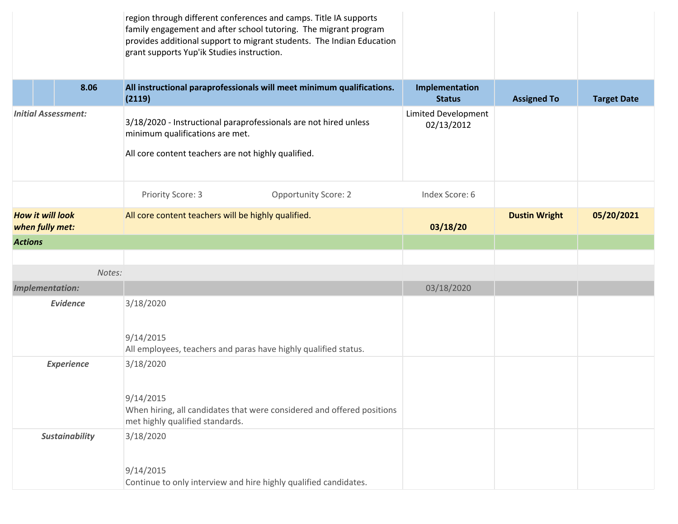|                                                                                                                                                                                          |                                  | region through different conferences and camps. Title IA supports<br>family engagement and after school tutoring. The migrant program<br>provides additional support to migrant students. The Indian Education<br>grant supports Yup'ik Studies instruction. |                                 |                      |                    |
|------------------------------------------------------------------------------------------------------------------------------------------------------------------------------------------|----------------------------------|--------------------------------------------------------------------------------------------------------------------------------------------------------------------------------------------------------------------------------------------------------------|---------------------------------|----------------------|--------------------|
|                                                                                                                                                                                          | 8.06                             | All instructional paraprofessionals will meet minimum qualifications.<br>(2119)                                                                                                                                                                              | Implementation<br><b>Status</b> | <b>Assigned To</b>   | <b>Target Date</b> |
| <b>Initial Assessment:</b><br>3/18/2020 - Instructional paraprofessionals are not hired unless<br>minimum qualifications are met.<br>All core content teachers are not highly qualified. |                                  | <b>Limited Development</b><br>02/13/2012                                                                                                                                                                                                                     |                                 |                      |                    |
|                                                                                                                                                                                          |                                  | Priority Score: 3<br><b>Opportunity Score: 2</b>                                                                                                                                                                                                             | Index Score: 6                  |                      |                    |
| <b>How it will look</b><br>when fully met:                                                                                                                                               |                                  | All core content teachers will be highly qualified.                                                                                                                                                                                                          | 03/18/20                        | <b>Dustin Wright</b> | 05/20/2021         |
| <b>Actions</b>                                                                                                                                                                           |                                  |                                                                                                                                                                                                                                                              |                                 |                      |                    |
|                                                                                                                                                                                          |                                  |                                                                                                                                                                                                                                                              |                                 |                      |                    |
|                                                                                                                                                                                          | Notes:<br><b>Implementation:</b> |                                                                                                                                                                                                                                                              | 03/18/2020                      |                      |                    |
|                                                                                                                                                                                          | <b>Evidence</b>                  | 3/18/2020                                                                                                                                                                                                                                                    |                                 |                      |                    |
|                                                                                                                                                                                          |                                  | 9/14/2015<br>All employees, teachers and paras have highly qualified status.                                                                                                                                                                                 |                                 |                      |                    |
| <b>Experience</b>                                                                                                                                                                        |                                  | 3/18/2020                                                                                                                                                                                                                                                    |                                 |                      |                    |
|                                                                                                                                                                                          |                                  | 9/14/2015<br>When hiring, all candidates that were considered and offered positions<br>met highly qualified standards.                                                                                                                                       |                                 |                      |                    |
| <b>Sustainability</b>                                                                                                                                                                    |                                  | 3/18/2020<br>9/14/2015                                                                                                                                                                                                                                       |                                 |                      |                    |
|                                                                                                                                                                                          |                                  | Continue to only interview and hire highly qualified candidates.                                                                                                                                                                                             |                                 |                      |                    |